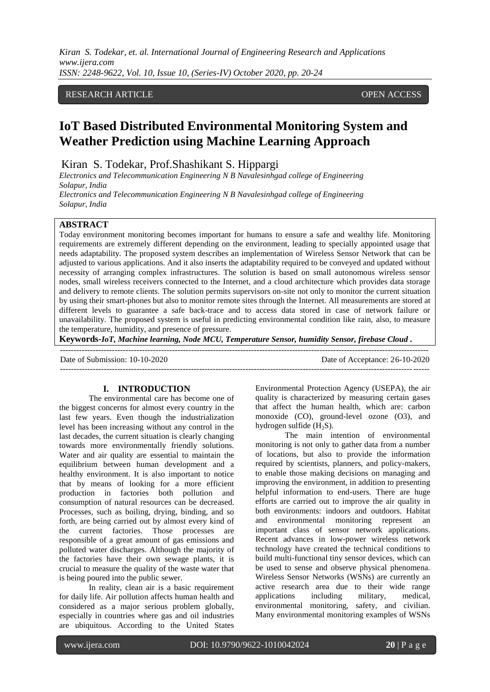*Kiran S. Todekar, et. al. International Journal of Engineering Research and Applications www.ijera.com ISSN: 2248-9622, Vol. 10, Issue 10, (Series-IV) October 2020, pp. 20-24*

# RESEARCH ARTICLE OPEN ACCESS

# **IoT Based Distributed Environmental Monitoring System and Weather Prediction using Machine Learning Approach**

Kiran S. Todekar, Prof.Shashikant S. Hippargi

*Electronics and Telecommunication Engineering N B Navalesinhgad college of Engineering Solapur, India*

*Electronics and Telecommunication Engineering N B Navalesinhgad college of Engineering Solapur, India*

#### **ABSTRACT**

Today environment monitoring becomes important for humans to ensure a safe and wealthy life. Monitoring requirements are extremely different depending on the environment, leading to specially appointed usage that needs adaptability. The proposed system describes an implementation of Wireless Sensor Network that can be adjusted to various applications. And it also inserts the adaptability required to be conveyed and updated without necessity of arranging complex infrastructures. The solution is based on small autonomous wireless sensor nodes, small wireless receivers connected to the Internet, and a cloud architecture which provides data storage and delivery to remote clients. The solution permits supervisors on-site not only to monitor the current situation by using their smart-phones but also to monitor remote sites through the Internet. All measurements are stored at different levels to guarantee a safe back-trace and to access data stored in case of network failure or unavailability. The proposed system is useful in predicting environmental condition like rain, also, to measure the temperature, humidity, and presence of pressure.

**Keywords-***IoT, Machine learning, Node MCU, Temperature Sensor, humidity Sensor, firebase Cloud .*

| Date of Submission: 10-10-2020 | Date of Acceptance: 26-10-2020 |
|--------------------------------|--------------------------------|
|                                |                                |
|                                |                                |

# **I. INTRODUCTION**

The environmental care has become one of the biggest concerns for almost every country in the last few years. Even though the industrialization level has been increasing without any control in the last decades, the current situation is clearly changing towards more environmentally friendly solutions. Water and air quality are essential to maintain the equilibrium between human development and a healthy environment. It is also important to notice that by means of looking for a more efficient production in factories both pollution and consumption of natural resources can be decreased. Processes, such as boiling, drying, binding, and so forth, are being carried out by almost every kind of the current factories. Those processes are responsible of a great amount of gas emissions and polluted water discharges. Although the majority of the factories have their own sewage plants, it is crucial to measure the quality of the waste water that is being poured into the public sewer.

In reality, clean air is a basic requirement for daily life. Air pollution affects human health and considered as a major serious problem globally, especially in countries where gas and oil industries are ubiquitous. According to the United States

Environmental Protection Agency (USEPA), the air quality is characterized by measuring certain gases that affect the human health, which are: carbon monoxide (CO), ground-level ozone (O3), and hydrogen sulfide  $(H_2S)$ .

The main intention of environmental monitoring is not only to gather data from a number of locations, but also to provide the information required by scientists, planners, and policy-makers, to enable those making decisions on managing and improving the environment, in addition to presenting helpful information to end-users. There are huge efforts are carried out to improve the air quality in both environments: indoors and outdoors. Habitat and environmental monitoring represent an important class of sensor network applications. Recent advances in low-power wireless network technology have created the technical conditions to build multi-functional tiny sensor devices, which can be used to sense and observe physical phenomena. Wireless Sensor Networks (WSNs) are currently an active research area due to their wide range applications including military, medical, environmental monitoring, safety, and civilian. Many environmental monitoring examples of WSNs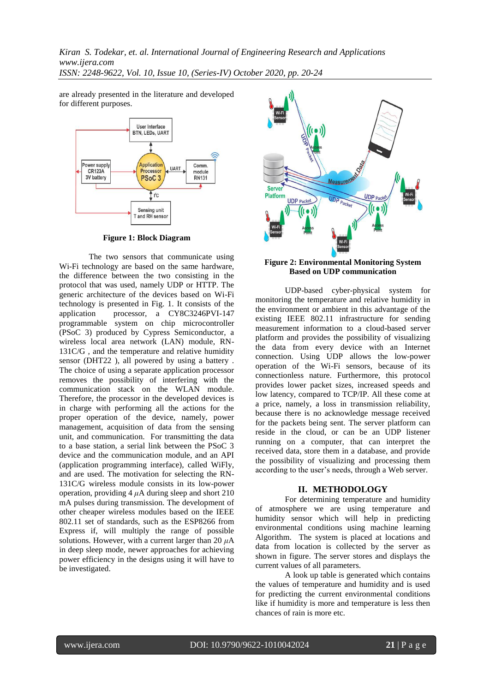*Kiran S. Todekar, et. al. International Journal of Engineering Research and Applications www.ijera.com ISSN: 2248-9622, Vol. 10, Issue 10, (Series-IV) October 2020, pp. 20-24*

are already presented in the literature and developed for different purposes.



**Figure 1: Block Diagram** 

The two sensors that communicate using Wi-Fi technology are based on the same hardware, the difference between the two consisting in the protocol that was used, namely UDP or HTTP. The generic architecture of the devices based on Wi-Fi technology is presented in Fig. 1. It consists of the application processor, a CY8C3246PVI-147 programmable system on chip microcontroller (PSoC 3) produced by Cypress Semiconductor, a wireless local area network (LAN) module, RN-131C/G , and the temperature and relative humidity sensor (DHT22 ), all powered by using a battery . The choice of using a separate application processor removes the possibility of interfering with the communication stack on the WLAN module. Therefore, the processor in the developed devices is in charge with performing all the actions for the proper operation of the device, namely, power management, acquisition of data from the sensing unit, and communication. For transmitting the data to a base station, a serial link between the PSoC 3 device and the communication module, and an API (application programming interface), called WiFly, and are used. The motivation for selecting the RN-131C/G wireless module consists in its low-power operation, providing  $4 \mu A$  during sleep and short 210 mA pulses during transmission. The development of other cheaper wireless modules based on the IEEE 802.11 set of standards, such as the ESP8266 from Express if, will multiply the range of possible solutions. However, with a current larger than 20 *μ*A in deep sleep mode, newer approaches for achieving power efficiency in the designs using it will have to be investigated.



#### **Figure 2: Environmental Monitoring System Based on UDP communication**

UDP-based cyber-physical system for monitoring the temperature and relative humidity in the environment or ambient in this advantage of the existing IEEE 802.11 infrastructure for sending measurement information to a cloud-based server platform and provides the possibility of visualizing the data from every device with an Internet connection. Using UDP allows the low-power operation of the Wi-Fi sensors, because of its connectionless nature. Furthermore, this protocol provides lower packet sizes, increased speeds and low latency, compared to TCP/IP. All these come at a price, namely, a loss in transmission reliability, because there is no acknowledge message received for the packets being sent. The server platform can reside in the cloud, or can be an UDP listener running on a computer, that can interpret the received data, store them in a database, and provide the possibility of visualizing and processing them according to the user's needs, through a Web server.

### **II. METHODOLOGY**

For determining temperature and humidity of atmosphere we are using temperature and humidity sensor which will help in predicting environmental conditions using machine learning Algorithm. The system is placed at locations and data from location is collected by the server as shown in figure. The server stores and displays the current values of all parameters.

A look up table is generated which contains the values of temperature and humidity and is used for predicting the current environmental conditions like if humidity is more and temperature is less then chances of rain is more etc.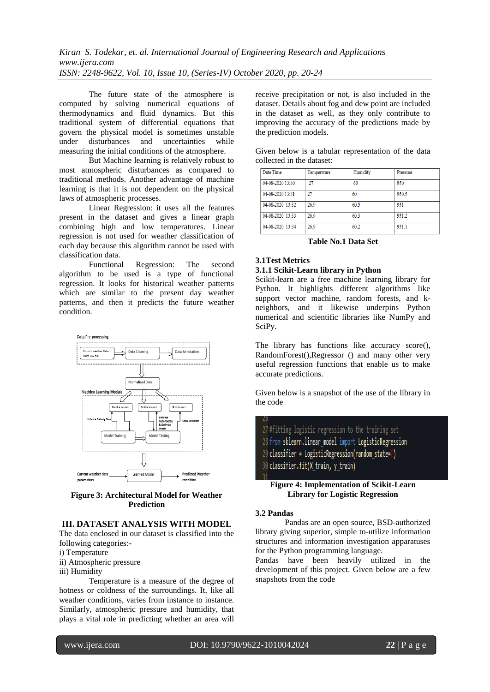The future state of the atmosphere is computed by solving numerical equations of thermodynamics and fluid dynamics. But this traditional system of differential equations that govern the physical model is sometimes unstable under disturbances and uncertainties while measuring the initial conditions of the atmosphere.

But Machine learning is relatively robust to most atmospheric disturbances as compared to traditional methods. Another advantage of machine learning is that it is not dependent on the physical laws of atmospheric processes.

Linear Regression: it uses all the features present in the dataset and gives a linear graph combining high and low temperatures. Linear regression is not used for weather classification of each day because this algorithm cannot be used with classification data.

Functional Regression: The second algorithm to be used is a type of functional regression. It looks for historical weather patterns which are similar to the present day weather patterns, and then it predicts the future weather condition.



**Figure 3: Architectural Model for Weather Prediction**

# **III. DATASET ANALYSIS WITH MODEL**

The data enclosed in our dataset is classified into the following categories:-

i) Temperature

- ii) Atmospheric pressure
- iii) Humidity

Temperature is a measure of the degree of hotness or coldness of the surroundings. It, like all weather conditions, varies from instance to instance. Similarly, atmospheric pressure and humidity, that plays a vital role in predicting whether an area will

receive precipitation or not, is also included in the dataset. Details about fog and dew point are included in the dataset as well, as they only contribute to improving the accuracy of the predictions made by the prediction models.

|                           |  | Given below is a tabular representation of the data |  |  |
|---------------------------|--|-----------------------------------------------------|--|--|
| collected in the dataset: |  |                                                     |  |  |

| Date Time        | Temperature | Humidity | Pressure |
|------------------|-------------|----------|----------|
| 04-08-2020 13:30 | 27          | 60       | 950      |
| 04-08-2020 13:31 | 27          | 60       | 950.5    |
| 04-08-2020 13:32 | 26.9        | 60.5     | 951      |
| 04-08-2020 13:33 | 26.9        | 60.3     | 951.2    |
| 04-08-2020 13:34 | 26.9        | 60.2     | 951.1    |

**Table No.1 Data Set**

## **3.1Test Metrics**

#### **3.1.1 Scikit-Learn library in Python**

Scikit-learn are a free machine learning library for Python. It highlights different algorithms like support vector machine, random forests, and kneighbors, and it likewise underpins Python numerical and scientific libraries like NumPy and SciPy.

The library has functions like accuracy score(), RandomForest(),Regressor () and many other very useful regression functions that enable us to make accurate predictions.

Given below is a snapshot of the use of the library in the code

27 #fitting logistic regression to the training set 28 from sklearn.linear model import LogisticRegression 29 classifier = LogisticRegression(random state=0) 30 classifier.fit(X train, y train)

#### **Figure 4: Implementation of Scikit-Learn Library for Logistic Regression**

#### **3.2 Pandas**

Pandas are an open source, BSD-authorized library giving superior, simple to-utilize information structures and information investigation apparatuses for the Python programming language.

Pandas have been heavily utilized in the development of this project. Given below are a few snapshots from the code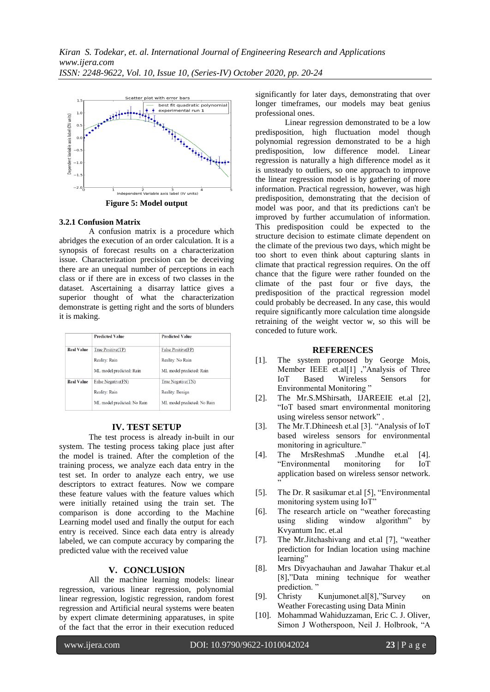

#### **3.2.1 Confusion Matrix**

A confusion matrix is a procedure which abridges the execution of an order calculation. It is a synopsis of forecast results on a characterization issue. Characterization precision can be deceiving there are an unequal number of perceptions in each class or if there are in excess of two classes in the dataset. Ascertaining a disarray lattice gives a superior thought of what the characterization demonstrate is getting right and the sorts of blunders it is making.

|                   | <b>Predicted Value</b>      | <b>Predicted Value</b>      |
|-------------------|-----------------------------|-----------------------------|
| <b>Real Value</b> | True Positive(TP)           | False Positive(FP)          |
|                   | Reality: Rain               | Reality: No Rain            |
|                   | ML model predicted: Rain    | ML model predicted: Rain    |
| <b>Real Value</b> | False Negative(FN)          | True Negative(TN)           |
|                   | Reality: Rain               | Reality: Benign             |
|                   | ML model predicted: No Rain | ML model predicted: No Rain |

### **IV. TEST SETUP**

The test process is already in-built in our system. The testing process taking place just after the model is trained. After the completion of the training process, we analyze each data entry in the test set. In order to analyze each entry, we use descriptors to extract features. Now we compare these feature values with the feature values which were initially retained using the train set. The comparison is done according to the Machine Learning model used and finally the output for each entry is received. Since each data entry is already labeled, we can compute accuracy by comparing the predicted value with the received value

# **V. CONCLUSION**

All the machine learning models: linear regression, various linear regression, polynomial linear regression, logistic regression, random forest regression and Artificial neural systems were beaten by expert climate determining apparatuses, in spite of the fact that the error in their execution reduced

significantly for later days, demonstrating that over longer timeframes, our models may beat genius professional ones.

Linear regression demonstrated to be a low predisposition, high fluctuation model though polynomial regression demonstrated to be a high predisposition, low difference model. Linear regression is naturally a high difference model as it is unsteady to outliers, so one approach to improve the linear regression model is by gathering of more information. Practical regression, however, was high predisposition, demonstrating that the decision of model was poor, and that its predictions can't be improved by further accumulation of information. This predisposition could be expected to the structure decision to estimate climate dependent on the climate of the previous two days, which might be too short to even think about capturing slants in climate that practical regression requires. On the off chance that the figure were rather founded on the climate of the past four or five days, the predisposition of the practical regression model could probably be decreased. In any case, this would require significantly more calculation time alongside retraining of the weight vector w, so this will be conceded to future work.

#### **REFERENCES**

- [1]. The system proposed by George Mois, Member IEEE et.al[1] ,"Analysis of Three IoT Based Wireless Sensors for Environmental Monitoring "
- [2]. The Mr.S.MShirsath, IJAREEIE et.al [2], "IoT based smart environmental monitoring using wireless sensor network" .
- [3]. The Mr.T.Dhineesh et.al [3]. "Analysis of IoT based wireless sensors for environmental monitoring in agriculture."
- [4]. The MrsReshmaS .Mundhe et.al [4]. "Environmental monitoring for IoT application based on wireless sensor network. "
- [5]. The Dr. R sasikumar et.al [5], "Environmental monitoring system using IoT"
- [6]. The research article on "weather forecasting using sliding window algorithm" by Kvyantum Inc. et.al
- [7]. The Mr.Jitchashivang and et.al [7], "weather prediction for Indian location using machine learning"
- [8]. Mrs Divyachauhan and Jawahar Thakur et.al [8],"Data mining technique for weather prediction.'
- [9]. Christy Kunjumonet.al[8],"Survey on Weather Forecasting using Data Minin
- [10]. Mohammad Wahiduzzaman, Eric C. J. Oliver, Simon J Wotherspoon, Neil J. Holbrook, "A